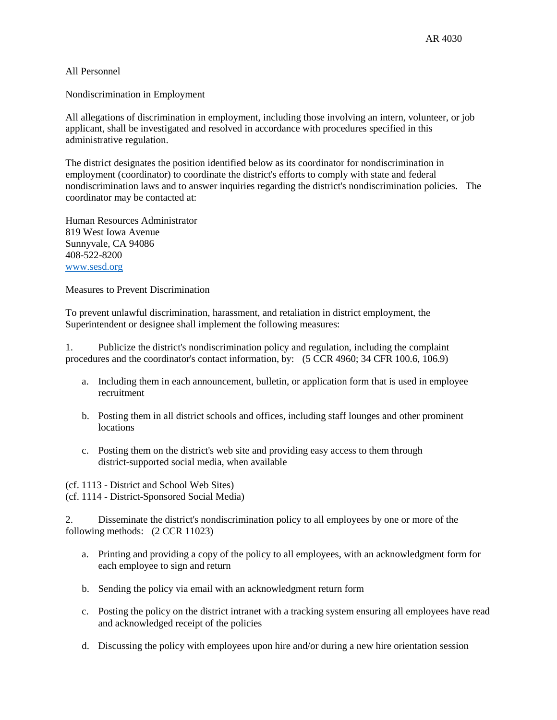## All Personnel

Nondiscrimination in Employment

All allegations of discrimination in employment, including those involving an intern, volunteer, or job applicant, shall be investigated and resolved in accordance with procedures specified in this administrative regulation.

The district designates the position identified below as its coordinator for nondiscrimination in employment (coordinator) to coordinate the district's efforts to comply with state and federal nondiscrimination laws and to answer inquiries regarding the district's nondiscrimination policies. The coordinator may be contacted at:

Human Resources Administrator 819 West Iowa Avenue Sunnyvale, CA 94086 408-522-8200 [www.sesd.org](http://www.sesd.org/)

Measures to Prevent Discrimination

To prevent unlawful discrimination, harassment, and retaliation in district employment, the Superintendent or designee shall implement the following measures:

1. Publicize the district's nondiscrimination policy and regulation, including the complaint procedures and the coordinator's contact information, by: (5 CCR 4960; 34 CFR 100.6, 106.9)

- a. Including them in each announcement, bulletin, or application form that is used in employee recruitment
- b. Posting them in all district schools and offices, including staff lounges and other prominent **locations**
- c. Posting them on the district's web site and providing easy access to them through district-supported social media, when available

(cf. 1113 - District and School Web Sites) (cf. 1114 - District-Sponsored Social Media)

2. Disseminate the district's nondiscrimination policy to all employees by one or more of the following methods: (2 CCR 11023)

- a. Printing and providing a copy of the policy to all employees, with an acknowledgment form for each employee to sign and return
- b. Sending the policy via email with an acknowledgment return form
- c. Posting the policy on the district intranet with a tracking system ensuring all employees have read and acknowledged receipt of the policies
- d. Discussing the policy with employees upon hire and/or during a new hire orientation session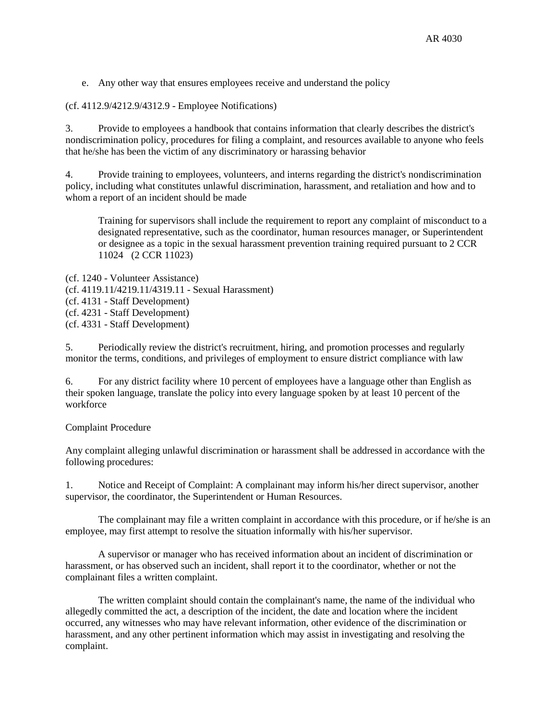e. Any other way that ensures employees receive and understand the policy

(cf. 4112.9/4212.9/4312.9 - Employee Notifications)

3. Provide to employees a handbook that contains information that clearly describes the district's nondiscrimination policy, procedures for filing a complaint, and resources available to anyone who feels that he/she has been the victim of any discriminatory or harassing behavior

4. Provide training to employees, volunteers, and interns regarding the district's nondiscrimination policy, including what constitutes unlawful discrimination, harassment, and retaliation and how and to whom a report of an incident should be made

Training for supervisors shall include the requirement to report any complaint of misconduct to a designated representative, such as the coordinator, human resources manager, or Superintendent or designee as a topic in the sexual harassment prevention training required pursuant to 2 CCR 11024 (2 CCR 11023)

(cf. 1240 - Volunteer Assistance) (cf. 4119.11/4219.11/4319.11 - Sexual Harassment) (cf. 4131 - Staff Development) (cf. 4231 - Staff Development) (cf. 4331 - Staff Development)

5. Periodically review the district's recruitment, hiring, and promotion processes and regularly monitor the terms, conditions, and privileges of employment to ensure district compliance with law

6. For any district facility where 10 percent of employees have a language other than English as their spoken language, translate the policy into every language spoken by at least 10 percent of the workforce

## Complaint Procedure

Any complaint alleging unlawful discrimination or harassment shall be addressed in accordance with the following procedures:

1. Notice and Receipt of Complaint: A complainant may inform his/her direct supervisor, another supervisor, the coordinator, the Superintendent or Human Resources.

The complainant may file a written complaint in accordance with this procedure, or if he/she is an employee, may first attempt to resolve the situation informally with his/her supervisor.

A supervisor or manager who has received information about an incident of discrimination or harassment, or has observed such an incident, shall report it to the coordinator, whether or not the complainant files a written complaint.

The written complaint should contain the complainant's name, the name of the individual who allegedly committed the act, a description of the incident, the date and location where the incident occurred, any witnesses who may have relevant information, other evidence of the discrimination or harassment, and any other pertinent information which may assist in investigating and resolving the complaint.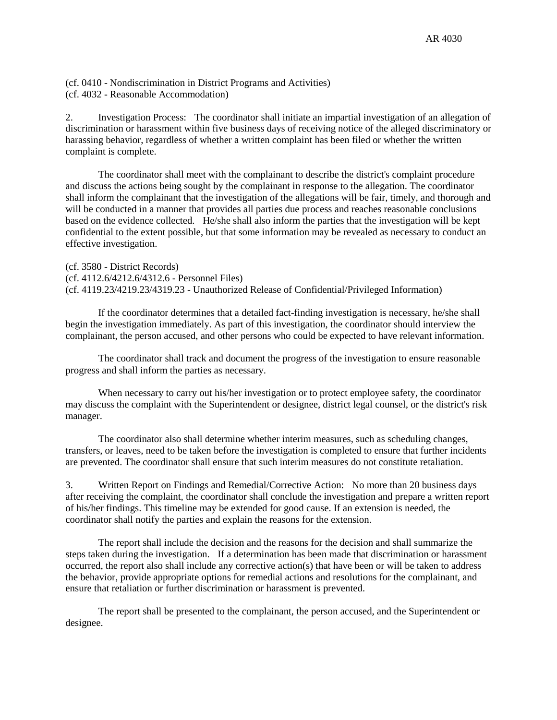(cf. 0410 - Nondiscrimination in District Programs and Activities) (cf. 4032 - Reasonable Accommodation)

2. Investigation Process: The coordinator shall initiate an impartial investigation of an allegation of discrimination or harassment within five business days of receiving notice of the alleged discriminatory or harassing behavior, regardless of whether a written complaint has been filed or whether the written complaint is complete.

The coordinator shall meet with the complainant to describe the district's complaint procedure and discuss the actions being sought by the complainant in response to the allegation. The coordinator shall inform the complainant that the investigation of the allegations will be fair, timely, and thorough and will be conducted in a manner that provides all parties due process and reaches reasonable conclusions based on the evidence collected. He/she shall also inform the parties that the investigation will be kept confidential to the extent possible, but that some information may be revealed as necessary to conduct an effective investigation.

(cf. 3580 - District Records) (cf. 4112.6/4212.6/4312.6 - Personnel Files) (cf. 4119.23/4219.23/4319.23 - Unauthorized Release of Confidential/Privileged Information)

If the coordinator determines that a detailed fact-finding investigation is necessary, he/she shall begin the investigation immediately. As part of this investigation, the coordinator should interview the complainant, the person accused, and other persons who could be expected to have relevant information.

The coordinator shall track and document the progress of the investigation to ensure reasonable progress and shall inform the parties as necessary.

When necessary to carry out his/her investigation or to protect employee safety, the coordinator may discuss the complaint with the Superintendent or designee, district legal counsel, or the district's risk manager.

The coordinator also shall determine whether interim measures, such as scheduling changes, transfers, or leaves, need to be taken before the investigation is completed to ensure that further incidents are prevented. The coordinator shall ensure that such interim measures do not constitute retaliation.

3. Written Report on Findings and Remedial/Corrective Action: No more than 20 business days after receiving the complaint, the coordinator shall conclude the investigation and prepare a written report of his/her findings. This timeline may be extended for good cause. If an extension is needed, the coordinator shall notify the parties and explain the reasons for the extension.

The report shall include the decision and the reasons for the decision and shall summarize the steps taken during the investigation. If a determination has been made that discrimination or harassment occurred, the report also shall include any corrective action(s) that have been or will be taken to address the behavior, provide appropriate options for remedial actions and resolutions for the complainant, and ensure that retaliation or further discrimination or harassment is prevented.

The report shall be presented to the complainant, the person accused, and the Superintendent or designee.